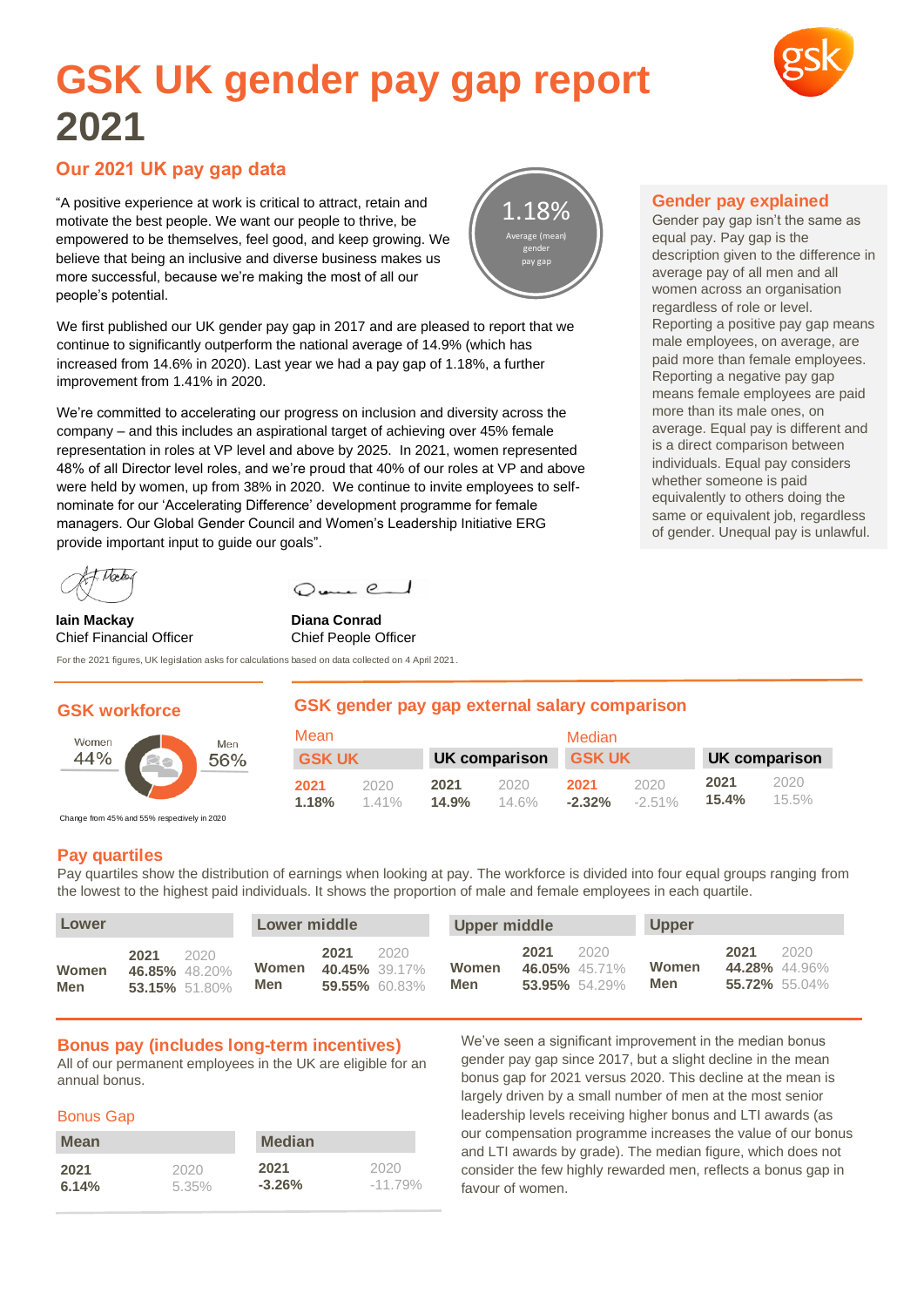# **GSK UK gender pay gap report 2021**

# **Our 2021 UK pay gap data**

"A positive experience at work is critical to attract, retain and motivate the best people. We want our people to thrive, be empowered to be themselves, feel good, and keep growing. We believe that being an inclusive and diverse business makes us more successful, because we're making the most of all our people's potential.

We first published our UK gender pay gap in 2017 and are pleased to report that we continue to significantly outperform the national average of 14.9% (which has increased from 14.6% in 2020). Last year we had a pay gap of 1.18%, a further improvement from 1.41% in 2020.

We're committed to accelerating our progress on inclusion and diversity across the company – and this includes an aspirational target of achieving over 45% female representation in roles at VP level and above by 2025. In 2021, women represented 48% of all Director level roles, and we're proud that 40% of our roles at VP and above were held by women, up from 38% in 2020. We continue to invite employees to selfnominate for our 'Accelerating Difference' development programme for female managers. Our Global Gender Council and Women's Leadership Initiative ERG provide important input to guide our goals".

Mean

**2021** 2020 **1.18%** 1.41%

 $Q_{\text{max}}$  e  $\overline{Q}$ 

Norto  $\overline{\phantom{a}}$ 

**Iain Mackay Diana Conrad** Chief Financial Officer Chief People Officer

For the 2021 figures, UK legislation asks for calculations based on data collected on 4 April 2021.

## **GSK workforce**



Change from 45% and 55% respectively in 2020

## **Pay quartiles**

Pay quartiles show the distribution of earnings when looking at pay. The workforce is divided into four equal groups ranging from the lowest to the highest paid individuals. It shows the proportion of male and female employees in each quartile.

**2021** 2020 **14.9%** 14.6%

**GSK gender pay gap external salary comparison**

| Lower               |      |                                        | Lower middle | Upper middle                 |                       |              |      | <b>Upper</b>                           |              |                                        |      |
|---------------------|------|----------------------------------------|--------------|------------------------------|-----------------------|--------------|------|----------------------------------------|--------------|----------------------------------------|------|
| Women<br><b>Men</b> | 2021 | 2020<br>46.85% 48.20%<br>53.15% 51.80% | Women<br>Men | 2021<br><b>40.45%</b> 39.17% | 2020<br>59.55% 60.83% | Women<br>Men | 2021 | 2020<br>46.05% 45.71%<br>53.95% 54.29% | Women<br>Men | 2021<br>44.28% 44.96%<br>55.72% 55.04% | 2020 |

#### **Bonus pay (includes long-term incentives)**

All of our permanent employees in the UK are eligible for an annual bonus.

#### Bonus Gap

| <b>Mean</b> |       | <b>Median</b> |            |  |  |  |
|-------------|-------|---------------|------------|--|--|--|
| 2021        | 2020  | 2021          | 2020       |  |  |  |
| 6.14%       | 5.35% | $-3.26\%$     | $-11.79\%$ |  |  |  |

We've seen a significant improvement in the median bonus gender pay gap since 2017, but a slight decline in the mean bonus gap for 2021 versus 2020. This decline at the mean is largely driven by a small number of men at the most senior leadership levels receiving higher bonus and LTI awards (as our compensation programme increases the value of our bonus and LTI awards by grade). The median figure, which does not consider the few highly rewarded men, reflects a bonus gap in favour of women.

**2021** 2020 **-2.32%** -2.51%

**Median** 

**GSK UK GSK UK UK comparison GSK UK UK comparison**

#### **Gender pay explained**

Gender pay gap isn't the same as equal pay. Pay gap is the description given to the difference in average pay of all men and all women across an organisation regardless of role or level. Reporting a positive pay gap means male employees, on average, are paid more than female employees. Reporting a negative pay gap means female employees are paid more than its male ones, on average. Equal pay is different and is a direct comparison between individuals. Equal pay considers whether someone is paid equivalently to others doing the same or equivalent job, regardless of gender. Unequal pay is unlawful.

> **2021** 2020 **15.4%** 15.5%

**v**